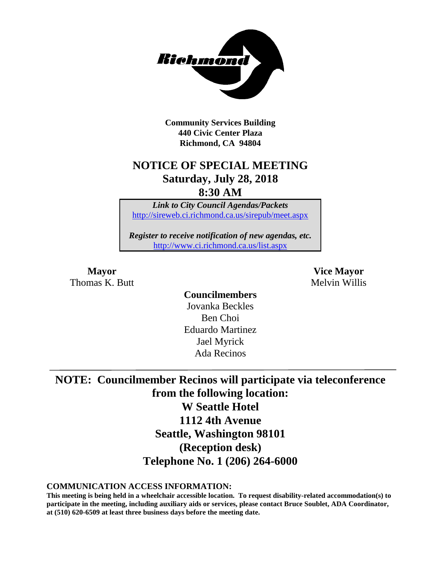

**Community Services Building 440 Civic Center Plaza Richmond, CA 94804**

## **NOTICE OF SPECIAL MEETING Saturday, July 28, 2018**

**8:30 AM**

*Link to City Council Agendas/Packets* <http://sireweb.ci.richmond.ca.us/sirepub/meet.aspx>

*Register to receive notification of new agendas, etc.* <http://www.ci.richmond.ca.us/list.aspx>

Thomas K. Butt **Melvin Willis** Melvin Willis

**Mayor Vice Mayor**

**Councilmembers** Jovanka Beckles Ben Choi Eduardo Martinez Jael Myrick Ada Recinos

**NOTE: Councilmember Recinos will participate via teleconference from the following location: W Seattle Hotel 1112 4th Avenue Seattle, Washington 98101 (Reception desk) Telephone No. 1 (206) 264-6000**

**COMMUNICATION ACCESS INFORMATION:**

**This meeting is being held in a wheelchair accessible location. To request disability-related accommodation(s) to participate in the meeting, including auxiliary aids or services, please contact Bruce Soublet, ADA Coordinator, at (510) 620-6509 at least three business days before the meeting date.**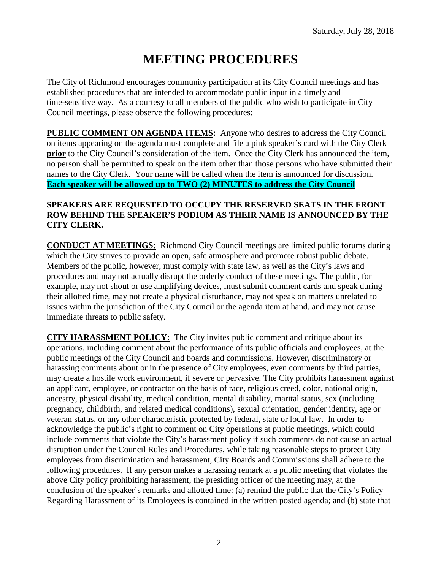# **MEETING PROCEDURES**

The City of Richmond encourages community participation at its City Council meetings and has established procedures that are intended to accommodate public input in a timely and time-sensitive way. As a courtesy to all members of the public who wish to participate in City Council meetings, please observe the following procedures:

**PUBLIC COMMENT ON AGENDA ITEMS:** Anyone who desires to address the City Council on items appearing on the agenda must complete and file a pink speaker's card with the City Clerk **prior** to the City Council's consideration of the item. Once the City Clerk has announced the item, no person shall be permitted to speak on the item other than those persons who have submitted their names to the City Clerk. Your name will be called when the item is announced for discussion. **Each speaker will be allowed up to TWO (2) MINUTES to address the City Council** 

#### **SPEAKERS ARE REQUESTED TO OCCUPY THE RESERVED SEATS IN THE FRONT ROW BEHIND THE SPEAKER'S PODIUM AS THEIR NAME IS ANNOUNCED BY THE CITY CLERK.**

**CONDUCT AT MEETINGS:** Richmond City Council meetings are limited public forums during which the City strives to provide an open, safe atmosphere and promote robust public debate. Members of the public, however, must comply with state law, as well as the City's laws and procedures and may not actually disrupt the orderly conduct of these meetings. The public, for example, may not shout or use amplifying devices, must submit comment cards and speak during their allotted time, may not create a physical disturbance, may not speak on matters unrelated to issues within the jurisdiction of the City Council or the agenda item at hand, and may not cause immediate threats to public safety.

**CITY HARASSMENT POLICY:** The City invites public comment and critique about its operations, including comment about the performance of its public officials and employees, at the public meetings of the City Council and boards and commissions. However, discriminatory or harassing comments about or in the presence of City employees, even comments by third parties, may create a hostile work environment, if severe or pervasive. The City prohibits harassment against an applicant, employee, or contractor on the basis of race, religious creed, color, national origin, ancestry, physical disability, medical condition, mental disability, marital status, sex (including pregnancy, childbirth, and related medical conditions), sexual orientation, gender identity, age or veteran status, or any other characteristic protected by federal, state or local law. In order to acknowledge the public's right to comment on City operations at public meetings, which could include comments that violate the City's harassment policy if such comments do not cause an actual disruption under the Council Rules and Procedures, while taking reasonable steps to protect City employees from discrimination and harassment, City Boards and Commissions shall adhere to the following procedures. If any person makes a harassing remark at a public meeting that violates the above City policy prohibiting harassment, the presiding officer of the meeting may, at the conclusion of the speaker's remarks and allotted time: (a) remind the public that the City's Policy Regarding Harassment of its Employees is contained in the written posted agenda; and (b) state that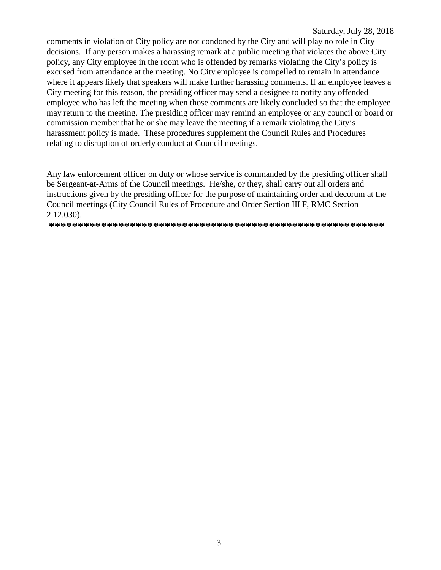comments in violation of City policy are not condoned by the City and will play no role in City decisions. If any person makes a harassing remark at a public meeting that violates the above City policy, any City employee in the room who is offended by remarks violating the City's policy is excused from attendance at the meeting. No City employee is compelled to remain in attendance where it appears likely that speakers will make further harassing comments. If an employee leaves a City meeting for this reason, the presiding officer may send a designee to notify any offended employee who has left the meeting when those comments are likely concluded so that the employee may return to the meeting. The presiding officer may remind an employee or any council or board or commission member that he or she may leave the meeting if a remark violating the City's harassment policy is made. These procedures supplement the Council Rules and Procedures relating to disruption of orderly conduct at Council meetings.

Any law enforcement officer on duty or whose service is commanded by the presiding officer shall be Sergeant-at-Arms of the Council meetings. He/she, or they, shall carry out all orders and instructions given by the presiding officer for the purpose of maintaining order and decorum at the Council meetings (City Council Rules of Procedure and Order Section III F, RMC Section  $2.12.030$ ).